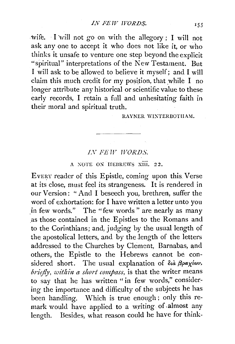wife. I will not go on with the allegory ; I will not ask any one to accept it who does not like it, or who thinks it unsafe to venture one step beyond the explicit "spiritual" interpretations of the New Testament. But I will ask to be allowed to believe it myself; and I will claim this much credit for my position, that while  $I$  no longer attribute any historical or scientific value to these early records, I retain a full and unhesitating faith in their moral and spiritual truth.

## RAYNER WINTERBOTHAM.

## *LV FEW WORDS.*

## A NOTE ON HEBREWS XIII. 22.

EVERY reader of this Epistle, coming upon this Verse at its close, must feel its strangeness. It is rendered in our Version: " And I beseech you, brethren, suffer the word of exhortation: for I have written a letter unto you in few words." The "few words" are nearly as many .as those contained in the Epistles to the Romans and to the Corinthians; and, judging by the usual length of the apostolical letters, and by the length of the letters addressed to the Churches by Clement, Barnabas, and others, the Epistle to the Hebrews cannot be considered short. The usual explanation of  $\delta u \beta \rho a \chi^2 \omega v$ . *briefly, within a short compass,* is that the writer means to say that he has written "in few words," considering the importance and difficulty of the subjects he has been handling. Which is true enough; only this remark would have applied to a writing of almost any length. Besides, what reason could he have for think-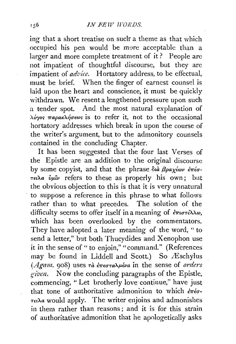ing that a short treatise on suclr a theme as that which occupied his pen would be more acceptable than a larger and more complete treatment of it? People are not impatient of thoughtful discourse, but they are impatient of *advice*. Hortatory address, to be effectual, must be brief. When the finger of earnest counsel is laid upon the heart and conscience, it must be quickly withdrawn. We resent a lengthened pressure upon such a tender spot. And the most natural explanation of Ao"for; *7rapaKA1JU€(J'"* is to refer it, not to the occasional hortatory addresses which break in upon the course of the writer's argument, but to the admonitory counsels contained in the concluding Chapter.

It has been suggested that the four last Verses of the Epistle are an addition to the original discourse by some copyist, and that the phrase  $\delta u \hat{a} \beta \rho a \chi \epsilon \omega \nu \epsilon \pi \epsilon \sigma$ -*-ret'Aa vp,'iv* refers to these as properly his own; but the obvious objection to this is that it is very unnatural to suppose a reference in this phrase to what follows rather than to what precedes. The solution of the difficulty seems to offer itself in a meaning of  $\epsilon \pi \omega \tau \epsilon \lambda \lambda \omega$ , which has been overlooked by the commentators. They have adopted a later meaning of the word, " to send a letter," but both Thucydides and Xenophon use it in the sense of " to enjoin," "command." (References may be found in Liddell and Scott.) So Æschylus (*Agam.* 908) uses *τ*à επεσταλμένα in the sense of *orders g·iven.* Now the concluding paragraphs of the Epistle, commencing, "Let brotherly love continue," have just that tone of authoritative admonition to which  $\partial \overline{\tau} \partial \overline{\partial}$ - $\tau \in \Omega$ a would apply. The writer enjoins and admonishes in them rather than reasons ; and it is for this strain of authoritative admonition that he apologetically asks